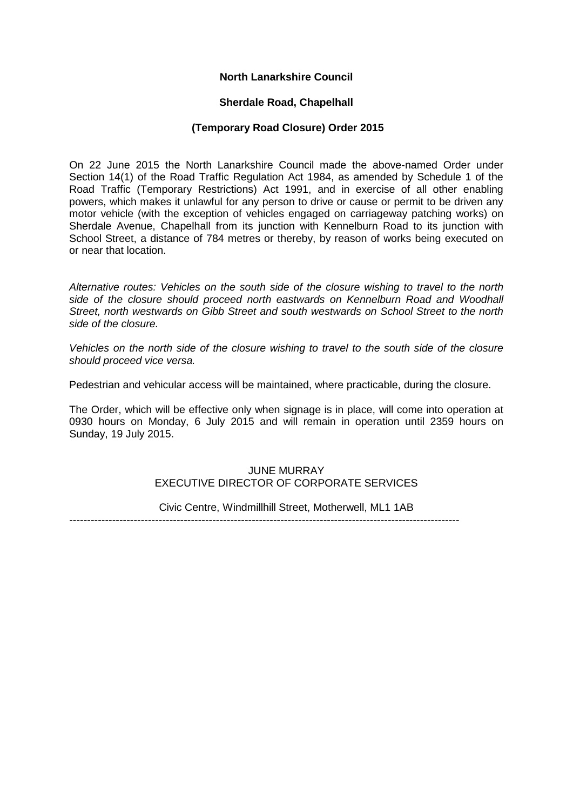# **North Lanarkshire Council**

## **Sherdale Road, Chapelhall**

## **(Temporary Road Closure) Order 2015**

On 22 June 2015 the North Lanarkshire Council made the above-named Order under Section 14(1) of the Road Traffic Regulation Act 1984, as amended by Schedule 1 of the Road Traffic (Temporary Restrictions) Act 1991, and in exercise of all other enabling powers, which makes it unlawful for any person to drive or cause or permit to be driven any motor vehicle (with the exception of vehicles engaged on carriageway patching works) on Sherdale Avenue, Chapelhall from its junction with Kennelburn Road to its junction with School Street, a distance of 784 metres or thereby, by reason of works being executed on or near that location.

*Alternative routes: Vehicles on the south side of the closure wishing to travel to the north side of the closure should proceed north eastwards on Kennelburn Road and Woodhall Street, north westwards on Gibb Street and south westwards on School Street to the north side of the closure.*

*Vehicles on the north side of the closure wishing to travel to the south side of the closure should proceed vice versa.*

Pedestrian and vehicular access will be maintained, where practicable, during the closure.

The Order, which will be effective only when signage is in place, will come into operation at 0930 hours on Monday, 6 July 2015 and will remain in operation until 2359 hours on Sunday, 19 July 2015.

# JUNE MURRAY EXECUTIVE DIRECTOR OF CORPORATE SERVICES

Civic Centre, Windmillhill Street, Motherwell, ML1 1AB

-------------------------------------------------------------------------------------------------------------